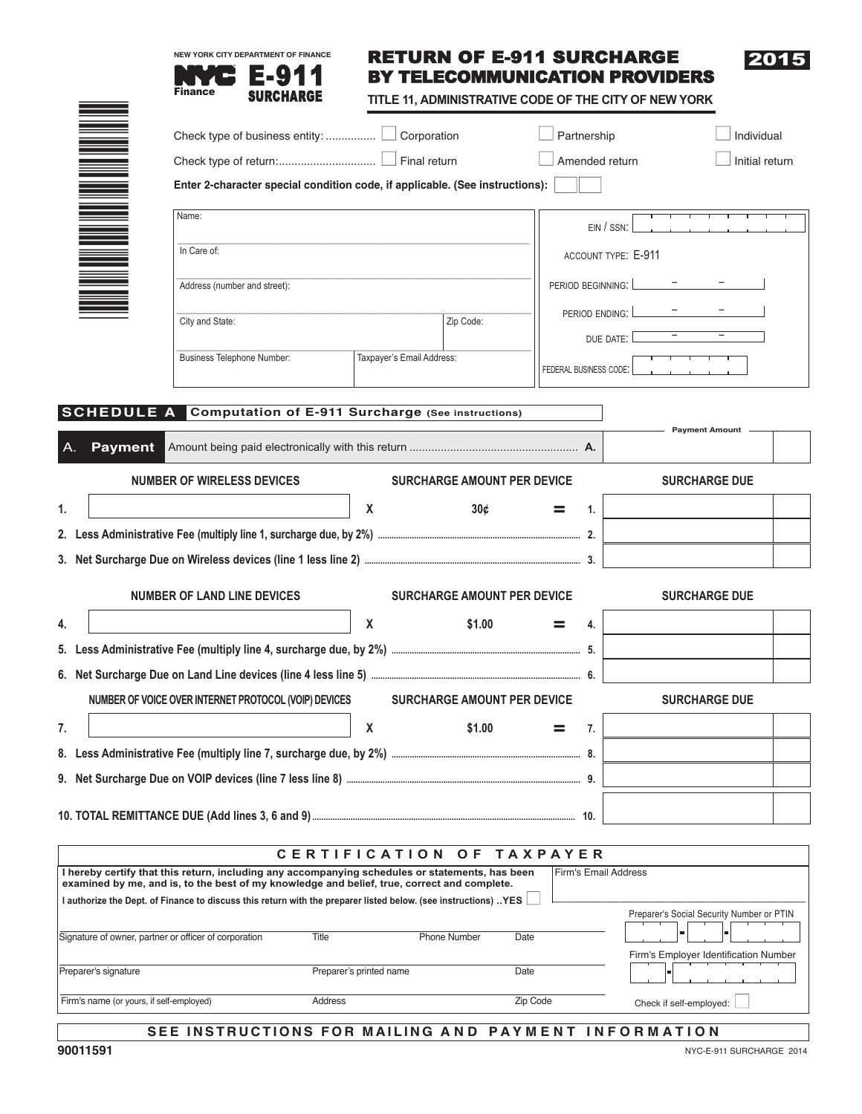

# RETURN OF E-911 SURCHARGE BY TELECOMMUNICATION PROVIDERS

**TITLE 11, ADMINISTRATIVE CODE OF THE CITY OF NEW YORK**

|                                                                                                                                                                                                |                                                                              |                           |                                    |                 | Partnership            | Individual                                |
|------------------------------------------------------------------------------------------------------------------------------------------------------------------------------------------------|------------------------------------------------------------------------------|---------------------------|------------------------------------|-----------------|------------------------|-------------------------------------------|
|                                                                                                                                                                                                |                                                                              |                           |                                    |                 | Amended return         | Initial return                            |
|                                                                                                                                                                                                | Enter 2-character special condition code, if applicable. (See instructions): |                           |                                    |                 |                        |                                           |
| Name:                                                                                                                                                                                          |                                                                              |                           |                                    |                 | $EIN / SSN$ :          |                                           |
| In Care of:                                                                                                                                                                                    |                                                                              |                           |                                    |                 |                        | <b>ACCOUNT TYPE: E-911</b>                |
|                                                                                                                                                                                                | Address (number and street):                                                 |                           |                                    |                 | PERIOD BEGINNING:      |                                           |
| City and State:                                                                                                                                                                                |                                                                              |                           | Zip Code:                          |                 | PERIOD ENDING:         |                                           |
|                                                                                                                                                                                                | Business Telephone Number:                                                   | Taxpayer's Email Address: |                                    |                 | DUE DATE:              |                                           |
|                                                                                                                                                                                                |                                                                              |                           |                                    |                 | FEDERAL BUSINESS CODE: |                                           |
| SCHEDULE A                                                                                                                                                                                     | <b>Computation of E-911 Surcharge (See instructions)</b>                     |                           |                                    |                 |                        |                                           |
| <b>Payment</b>                                                                                                                                                                                 |                                                                              |                           |                                    |                 |                        | <b>Payment Amount</b> -                   |
| <b>NUMBER OF WIRELESS DEVICES</b>                                                                                                                                                              |                                                                              |                           | <b>SURCHARGE AMOUNT PER DEVICE</b> |                 |                        | <b>SURCHARGE DUE</b>                      |
| 1.                                                                                                                                                                                             |                                                                              | X                         | 30 <sub>c</sub>                    |                 | 1.                     |                                           |
|                                                                                                                                                                                                |                                                                              |                           |                                    |                 |                        |                                           |
|                                                                                                                                                                                                |                                                                              |                           |                                    |                 |                        |                                           |
| <b>NUMBER OF LAND LINE DEVICES</b>                                                                                                                                                             |                                                                              |                           | <b>SURCHARGE AMOUNT PER DEVICE</b> |                 |                        | <b>SURCHARGE DUE</b>                      |
| 4.                                                                                                                                                                                             |                                                                              | X                         | \$1.00                             |                 | 4.                     |                                           |
|                                                                                                                                                                                                |                                                                              |                           |                                    |                 |                        |                                           |
|                                                                                                                                                                                                |                                                                              |                           |                                    |                 |                        |                                           |
| NUMBER OF VOICE OVER INTERNET PROTOCOL (VOIP) DEVICES<br><b>SURCHARGE AMOUNT PER DEVICE</b>                                                                                                    |                                                                              |                           |                                    |                 |                        | <b>SURCHARGE DUE</b>                      |
| 7.                                                                                                                                                                                             |                                                                              | X                         | \$1.00                             |                 | 7.                     |                                           |
|                                                                                                                                                                                                |                                                                              |                           |                                    |                 |                        |                                           |
|                                                                                                                                                                                                |                                                                              |                           |                                    |                 |                        |                                           |
|                                                                                                                                                                                                |                                                                              |                           |                                    |                 | 10.                    |                                           |
|                                                                                                                                                                                                |                                                                              | <b>CERTIFICATION</b>      | O F                                | <b>TAXPAYER</b> |                        |                                           |
| I hereby certify that this return, including any accompanying schedules or statements, has been<br>examined by me, and is, to the best of my knowledge and belief, true, correct and complete. |                                                                              |                           |                                    |                 |                        | <b>Firm's Email Address</b>               |
| I authorize the Dept. of Finance to discuss this return with the preparer listed below. (see instructions) YES                                                                                 |                                                                              |                           |                                    |                 |                        | Preparer's Social Security Number or PTIN |
| Signature of owner, partner or officer of corporation                                                                                                                                          | Title                                                                        |                           | <b>Phone Number</b>                | Date            |                        | Firm's Employer Identification Number     |
| Preparer's signature                                                                                                                                                                           |                                                                              | Preparer's printed name   |                                    | Date            |                        |                                           |
| Firm's name (or yours, if self-employed)                                                                                                                                                       | Address                                                                      |                           |                                    | Zip Code        |                        | Check if self-employed:                   |

# SEE INSTRUCTIONS FOR MAILING AND PAYMENT INFORMATION

Check if self-employed:  $\boxed{\phantom{1}}$ 

2015